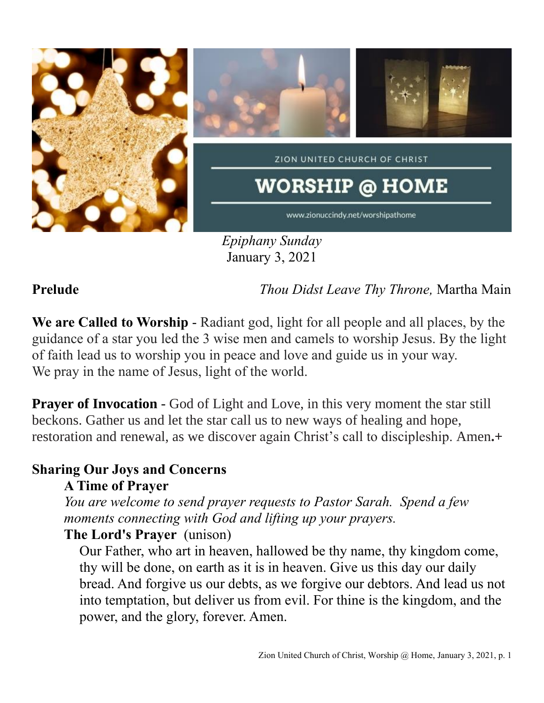

*Epiphany Sunday* January 3, 2021

**Prelude** *Thou Didst Leave Thy Throne,* Martha Main

**We are Called to Worship** - Radiant god, light for all people and all places, by the guidance of a star you led the 3 wise men and camels to worship Jesus. By the light of faith lead us to worship you in peace and love and guide us in your way. We pray in the name of Jesus, light of the world.

**Prayer of Invocation** - God of Light and Love, in this very moment the star still beckons. Gather us and let the star call us to new ways of healing and hope, restoration and renewal, as we discover again Christ's call to discipleship. Amen**.+**

# **Sharing Our Joys and Concerns**

**A Time of Prayer**

*You are welcome to send prayer requests to Pastor Sarah. Spend a few moments connecting with God and lifting up your prayers.*

## **The Lord's Prayer** (unison)

Our Father, who art in heaven, hallowed be thy name, thy kingdom come, thy will be done, on earth as it is in heaven. Give us this day our daily bread. And forgive us our debts, as we forgive our debtors. And lead us not into temptation, but deliver us from evil. For thine is the kingdom, and the power, and the glory, forever. Amen.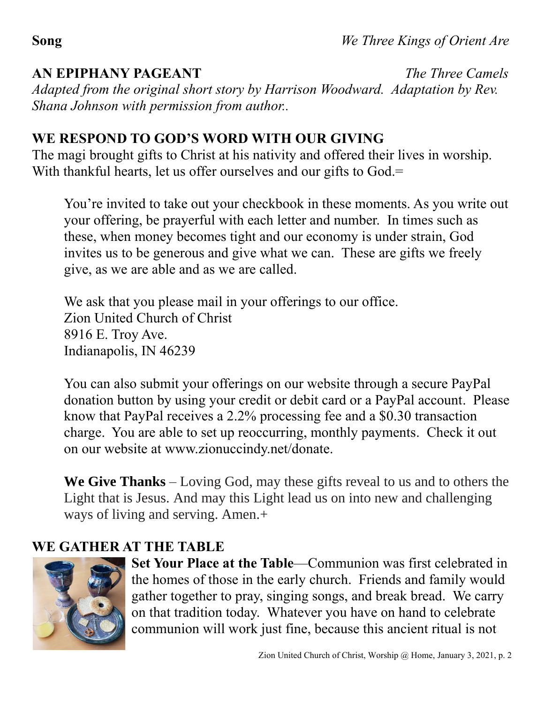## **AN EPIPHANY PAGEANT** *The Three Camels*

*Adapted from the original short story by Harrison Woodward. Adaptation by Rev. Shana Johnson with permission from author..* 

# **WE RESPOND TO GOD'S WORD WITH OUR GIVING**

The magi brought gifts to Christ at his nativity and offered their lives in worship. With thankful hearts, let us offer ourselves and our gifts to God.=

You're invited to take out your checkbook in these moments. As you write out your offering, be prayerful with each letter and number. In times such as these, when money becomes tight and our economy is under strain, God invites us to be generous and give what we can. These are gifts we freely give, as we are able and as we are called.

We ask that you please mail in your offerings to our office. Zion United Church of Christ 8916 E. Troy Ave. Indianapolis, IN 46239

You can also submit your offerings on our website through a secure PayPal donation button by using your credit or debit card or a PayPal account. Please know that PayPal receives a 2.2% processing fee and a \$0.30 transaction charge. You are able to set up reoccurring, monthly payments. Check it out on our website at www.zionuccindy.net/donate.

**We Give Thanks** – Loving God, may these gifts reveal to us and to others the Light that is Jesus. And may this Light lead us on into new and challenging ways of living and serving. Amen.+

# **WE GATHER AT THE TABLE**



**Set Your Place at the Table**—Communion was first celebrated in the homes of those in the early church. Friends and family would gather together to pray, singing songs, and break bread. We carry on that tradition today. Whatever you have on hand to celebrate communion will work just fine, because this ancient ritual is not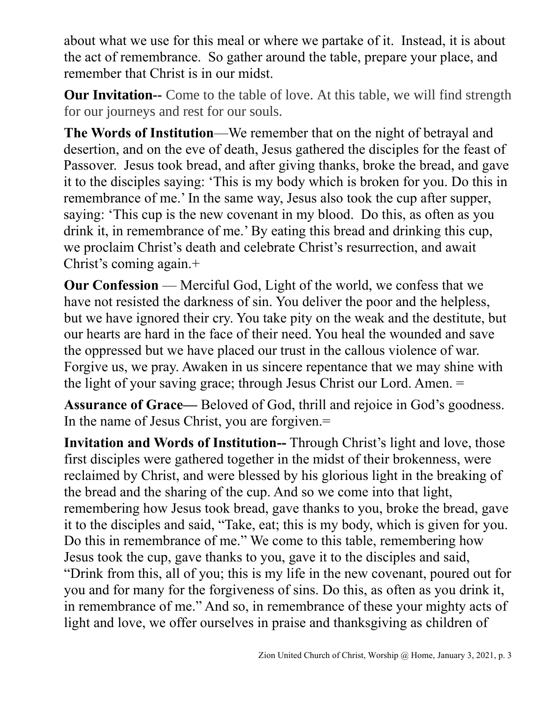about what we use for this meal or where we partake of it. Instead, it is about the act of remembrance. So gather around the table, prepare your place, and remember that Christ is in our midst.

**Our Invitation--** Come to the table of love. At this table, we will find strength for our journeys and rest for our souls.

**The Words of Institution**—We remember that on the night of betrayal and desertion, and on the eve of death, Jesus gathered the disciples for the feast of Passover. Jesus took bread, and after giving thanks, broke the bread, and gave it to the disciples saying: 'This is my body which is broken for you. Do this in remembrance of me.' In the same way, Jesus also took the cup after supper, saying: 'This cup is the new covenant in my blood. Do this, as often as you drink it, in remembrance of me.' By eating this bread and drinking this cup, we proclaim Christ's death and celebrate Christ's resurrection, and await Christ's coming again.+

**Our Confession** — Merciful God, Light of the world, we confess that we have not resisted the darkness of sin. You deliver the poor and the helpless, but we have ignored their cry. You take pity on the weak and the destitute, but our hearts are hard in the face of their need. You heal the wounded and save the oppressed but we have placed our trust in the callous violence of war. Forgive us, we pray. Awaken in us sincere repentance that we may shine with the light of your saving grace; through Jesus Christ our Lord. Amen. =

**Assurance of Grace—** Beloved of God, thrill and rejoice in God's goodness. In the name of Jesus Christ, you are forgiven.=

**Invitation and Words of Institution--** Through Christ's light and love, those first disciples were gathered together in the midst of their brokenness, were reclaimed by Christ, and were blessed by his glorious light in the breaking of the bread and the sharing of the cup. And so we come into that light, remembering how Jesus took bread, gave thanks to you, broke the bread, gave it to the disciples and said, "Take, eat; this is my body, which is given for you. Do this in remembrance of me." We come to this table, remembering how Jesus took the cup, gave thanks to you, gave it to the disciples and said, "Drink from this, all of you; this is my life in the new covenant, poured out for you and for many for the forgiveness of sins. Do this, as often as you drink it, in remembrance of me." And so, in remembrance of these your mighty acts of light and love, we offer ourselves in praise and thanksgiving as children of